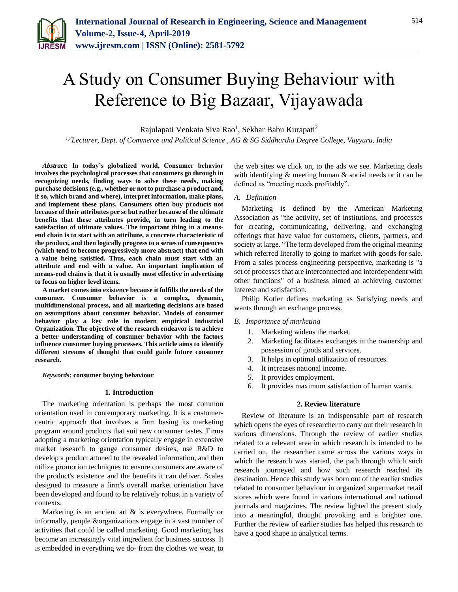

# A Study on Consumer Buying Behaviour with Reference to Big Bazaar, Vijayawada

Rajulapati Venkata Siva Rao<sup>1</sup>, Sekhar Babu Kurapati<sup>2</sup>

*1,2Lecturer, Dept. of Commerce and Political Science , AG & SG Siddhartha Degree College, Vuyyuru, India*

*Abstract***: In today's globalized world, Consumer behavior involves the psychological processes that consumers go through in recognizing needs, finding ways to solve these needs, making purchase decisions (e.g., whether or not to purchase a product and, if so, which brand and where), interpret information, make plans, and implement these plans. Consumers often buy products not because of their attributes per se but rather because of the ultimate benefits that these attributes provide, in turn leading to the satisfaction of ultimate values. The important thing in a meansend chain is to start with an attribute, a concrete characteristic of the product, and then logically progress to a series of consequences (which tend to become progressively more abstract) that end with a value being satisfied. Thus, each chain must start with an attribute and end with a value. An important implication of means-end chains is that it is usually most effective in advertising to focus on higher level items.**

**A market comes into existence because it fulfills the needs of the consumer. Consumer behavior is a complex, dynamic, multidimensional process, and all marketing decisions are based on assumptions about consumer behavior. Models of consumer behavior play a key role in modern empirical Industrial Organization. The objective of the research endeavor is to achieve a better understanding of consumer behavior with the factors influence consumer buying processes. This article aims to identify different streams of thought that could guide future consumer research.**

#### *Keywords***: consumer buying behaviour**

#### **1. Introduction**

The marketing orientation is perhaps the most common orientation used in contemporary marketing. It is a customercentric approach that involves a firm basing its marketing program around products that suit new consumer tastes. Firms adopting a marketing orientation typically engage in extensive market research to gauge consumer desires, use R&D to develop a product attuned to the revealed information, and then utilize promotion techniques to ensure consumers are aware of the product's existence and the benefits it can deliver. Scales designed to measure a firm's overall market orientation have been developed and found to be relatively robust in a variety of contexts.

Marketing is an ancient art  $\&$  is everywhere. Formally or informally, people &organizations engage in a vast number of activities that could be called marketing. Good marketing has become an increasingly vital ingredient for business success. It is embedded in everything we do- from the clothes we wear, to

the web sites we click on, to the ads we see. Marketing deals with identifying & meeting human & social needs or it can be defined as "meeting needs profitably".

# *A. Definition*

Marketing is defined by the American Marketing Association as "the activity, set of institutions, and processes for creating, communicating, delivering, and exchanging offerings that have value for customers, clients, partners, and society at large. "The term developed from the original meaning which referred literally to going to market with goods for sale. From a sales process engineering perspective, marketing is "a set of processes that are interconnected and interdependent with other functions" of a business aimed at achieving customer interest and satisfaction.

Philip Kotler defines marketing as Satisfying needs and wants through an exchange process.

#### *B. Importance of marketing*

- 1. Marketing widens the market.
- 2. Marketing facilitates exchanges in the ownership and possession of goods and services.
- 3. It helps in optimal utilization of resources.
- 4. It increases national income.
- 5. It provides employment.
- 6. It provides maximum satisfaction of human wants.

#### **2. Review literature**

Review of literature is an indispensable part of research which opens the eyes of researcher to carry out their research in various dimensions. Through the review of earlier studies related to a relevant area in which research is intended to be carried on, the researcher came across the various ways in which the research was started, the path through which such research journeyed and how such research reached its destination. Hence this study was born out of the earlier studies related to consumer behaviour in organized supermarket retail stores which were found in various international and national journals and magazines. The review lighted the present study into a meaningful, thought provoking and a brighter one. Further the review of earlier studies has helped this research to have a good shape in analytical terms.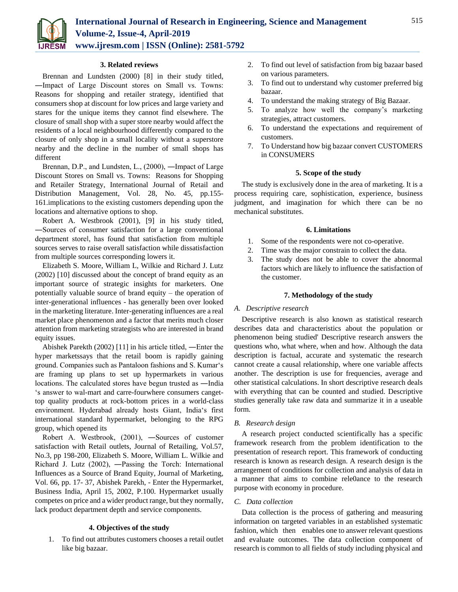

#### **3. Related reviews**

Brennan and Lundsten (2000) [8] in their study titled, ―Impact of Large Discount stores on Small vs. Towns: Reasons for shopping and retailer strategy, identified that consumers shop at discount for low prices and large variety and stares for the unique items they cannot find elsewhere. The closure of small shop with a super store nearby would affect the residents of a local neighbourhood differently compared to the closure of only shop in a small locality without a superstore nearby and the decline in the number of small shops has different

Brennan, D.P., and Lundsten, L., (2000), ―Impact of Large Discount Stores on Small vs. Towns: Reasons for Shopping and Retailer Strategy, International Journal of Retail and Distribution Management, Vol. 28, No. 45, pp.155- 161.implications to the existing customers depending upon the locations and alternative options to shop.

Robert A. Westbrook (2001), [9] in his study titled, ―Sources of consumer satisfaction for a large conventional department storeǁ, has found that satisfaction from multiple sources serves to raise overall satisfaction while dissatisfaction from multiple sources corresponding lowers it.

Elizabeth S. Moore, William L, Wilkie and Richard J. Lutz (2002) [10] discussed about the concept of brand equity as an important source of strategic insights for marketers. One potentially valuable source of brand equity – the operation of inter-generational influences - has generally been over looked in the marketing literature. Inter-generating influences are a real market place phenomenon and a factor that merits much closer attention from marketing strategists who are interested in brand equity issues.

Abishek Parekth (2002) [11] in his article titled, ―Enter the hyper marketssays that the retail boom is rapidly gaining ground. Companies such as Pantaloon fashions and S. Kumar's are framing up plans to set up hypermarkets in various locations. The calculated stores have begun trusted as ―India 's answer to wal-mart and carre-fourwhere consumers cangettop quality products at rock-bottom prices in a world-class environment. Hyderabad already hosts Giant, India's first international standard hypermarket, belonging to the RPG group, which opened its

Robert A. Westbrook, (2001), ―Sources of customer satisfaction with Retail outlets, Journal of Retailing, Vol.57, No.3, pp 198-200, Elizabeth S. Moore, William L. Wilkie and Richard J. Lutz (2002), ―Passing the Torch: International Influences as a Source of Brand Equity, Journal of Marketing, Vol. 66, pp. 17- 37, Abishek Parekh, - Enter the Hypermarket, Business India, April 15, 2002, P.100. Hypermarket usually competes on price and a wider product range, but they normally, lack product department depth and service components.

#### **4. Objectives of the study**

1. To find out attributes customers chooses a retail outlet like big bazaar.

- 2. To find out level of satisfaction from big bazaar based on various parameters.
- 3. To find out to understand why customer preferred big bazaar.
- 4. To understand the making strategy of Big Bazaar.
- 5. To analyze how well the company's marketing strategies, attract customers.
- 6. To understand the expectations and requirement of customers.
- 7. To Understand how big bazaar convert CUSTOMERS in CONSUMERS

# **5. Scope of the study**

The study is exclusively done in the area of marketing. It is a process requiring care, sophistication, experience, business judgment, and imagination for which there can be no mechanical substitutes.

## **6. Limitations**

- 1. Some of the respondents were not co-operative.
- 2. Time was the major constrain to collect the data.
- 3. The study does not be able to cover the abnormal factors which are likely to influence the satisfaction of the customer.

#### **7. Methodology of the study**

#### *A. Descriptive research*

Descriptive research is also known as statistical research describes data and characteristics about the population or phenomenon being studied' Descriptive research answers the questions who, what where, when and how. Although the data description is factual, accurate and systematic the research cannot create a causal relationship, where one variable affects another. The description is use for frequencies, average and other statistical calculations. In short descriptive research deals with everything that can be counted and studied. Descriptive studies generally take raw data and summarize it in a useable form.

# *B. Research design*

A research project conducted scientifically has a specific framework research from the problem identification to the presentation of research report. This framework of conducting research is known as research design. A research design is the arrangement of conditions for collection and analysis of data in a manner that aims to combine rele0ance to the research purpose with economy in procedure.

# *C. Data collection*

Data collection is the process of gathering and measuring information on targeted variables in an established systematic fashion, which then enables one to answer relevant questions and evaluate outcomes. The data collection component of research is common to all fields of study including physical and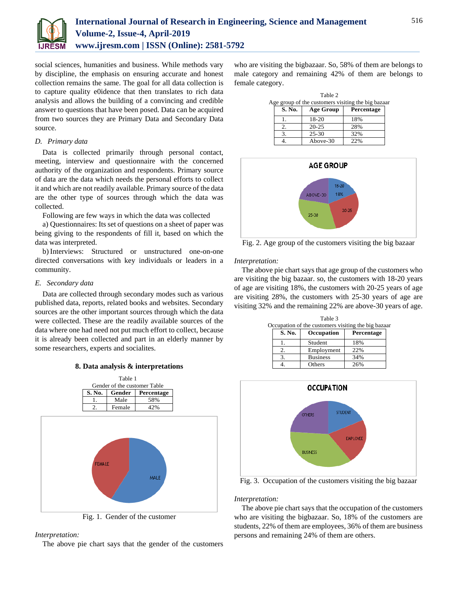

social sciences, humanities and business. While methods vary by discipline, the emphasis on ensuring accurate and honest collection remains the same. The goal for all data collection is to capture quality e0idence that then translates to rich data analysis and allows the building of a convincing and credible answer to questions that have been posed. Data can be acquired from two sources they are Primary Data and Secondary Data source.

## *D. Primary data*

Data is collected primarily through personal contact, meeting, interview and questionnaire with the concerned authority of the organization and respondents. Primary source of data are the data which needs the personal efforts to collect it and which are not readily available. Primary source of the data are the other type of sources through which the data was collected.

Following are few ways in which the data was collected

a) Questionnaires: Its set of questions on a sheet of paper was being giving to the respondents of fill it, based on which the data was interpreted.

b) Interviews: Structured or unstructured one-on-one directed conversations with key individuals or leaders in a community.

# *E. Secondary data*

Data are collected through secondary modes such as various published data, reports, related books and websites. Secondary sources are the other important sources through which the data were collected. These are the readily available sources of the data where one had need not put much effort to collect, because it is already been collected and part in an elderly manner by some researchers, experts and socialites.





Fig. 1. Gender of the customer

# *Interpretation:*

The above pie chart says that the gender of the customers

who are visiting the bigbazaar. So, 58% of them are belongs to male category and remaining 42% of them are belongs to female category.

Table 2 Age group of the customers visiting the big bazaar **S. No. Age Group Percentage**

| S. No. | Age Group | <b>Percentage</b> |
|--------|-----------|-------------------|
|        | $18-20$   | 18%               |
|        | $20 - 25$ | 28%               |
|        | $25 - 30$ | 32%               |
|        | Above-30  | 22%               |



Fig. 2. Age group of the customers visiting the big bazaar

# *Interpretation:*

The above pie chart says that age group of the customers who are visiting the big bazaar. so, the customers with 18-20 years of age are visiting 18%, the customers with 20-25 years of age are visiting 28%, the customers with 25-30 years of age are visiting 32% and the remaining 22% are above-30 years of age.

Table 3

|        | Occupation of the customers visiting the big bazaar |            |
|--------|-----------------------------------------------------|------------|
| S. No. | Occupation                                          | Percentage |
|        | Student                                             | 18%        |
|        | Employment                                          | 22%        |
|        | <b>Business</b>                                     | 34%        |
|        | Others                                              | 26%        |



Fig. 3. Occupation of the customers visiting the big bazaar

#### *Interpretation:*

The above pie chart says that the occupation of the customers who are visiting the bigbazaar. So, 18% of the customers are students, 22% of them are employees, 36% of them are business persons and remaining 24% of them are others.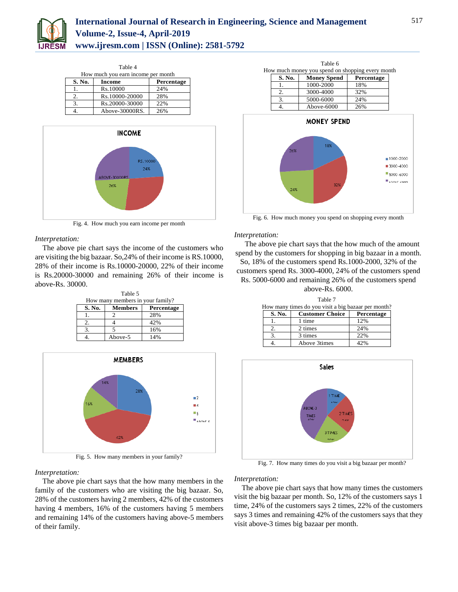

# **International Journal of Research in Engineering, Science and Management Volume-2, Issue-4, April-2019 www.ijresm.com | ISSN (Online): 2581-5792**

| Table 4                            |                |            |
|------------------------------------|----------------|------------|
| How much you earn income per month |                |            |
| S. No.                             | Income         | Percentage |
|                                    | Rs.10000       | 24%        |
| 2.                                 | Rs.10000-20000 | 28%        |
| 3.                                 | Rs.20000-30000 | 22%        |
|                                    | Above-30000RS. | 26%        |



Fig. 4. How much you earn income per month

# *Interpretation:*

The above pie chart says the income of the customers who are visiting the big bazaar. So,24% of their income is RS.10000, 28% of their income is Rs.10000-20000, 22% of their income is Rs.20000-30000 and remaining 26% of their income is above-Rs. 30000.

| Table 5                          |                |            |  |
|----------------------------------|----------------|------------|--|
| How many members in your family? |                |            |  |
| S. No.                           | <b>Members</b> | Percentage |  |
|                                  |                | 28%        |  |
|                                  |                | 42%        |  |
|                                  |                | 16%        |  |
|                                  | Above-5        | 14%        |  |



Fig. 5. How many members in your family?

# *Interpretation:*

The above pie chart says that the how many members in the family of the customers who are visiting the big bazaar. So, 28% of the customers having 2 members, 42% of the customers having 4 members, 16% of the customers having 5 members and remaining 14% of the customers having above-5 members of their family.



Fig. 6. How much money you spend on shopping every month

#### *Interpretation:*

The above pie chart says that the how much of the amount spend by the customers for shopping in big bazaar in a month. So, 18% of the customers spend Rs.1000-2000, 32% of the customers spend Rs. 3000-4000, 24% of the customers spend Rs. 5000-6000 and remaining 26% of the customers spend above-Rs. 6000.

| Table 7<br>How many times do you visit a big bazaar per month? |                        |            |  |
|----------------------------------------------------------------|------------------------|------------|--|
| S. No.                                                         | <b>Customer Choice</b> | Percentage |  |
| Ī.                                                             | 1 time                 | 12%        |  |
| 2.                                                             | 2 times                | 24%        |  |
| 3.                                                             | 3 times                | 22%        |  |
|                                                                | Above 3times           | 42%        |  |



Fig. 7. How many times do you visit a big bazaar per month?

#### *Interpretation:*

The above pie chart says that how many times the customers visit the big bazaar per month. So, 12% of the customers says 1 time, 24% of the customers says 2 times, 22% of the customers says 3 times and remaining 42% of the customers says that they visit above-3 times big bazaar per month.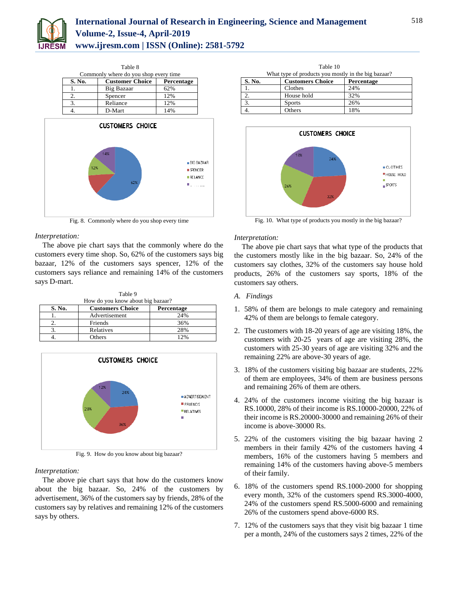

| S. No. | <b>Customer Choice</b> | Percentage |
|--------|------------------------|------------|
|        | Big Bazaar             | 62%        |
| 2.     | Spencer                | 12%        |
| 3.     | Reliance               | 12%        |
|        | D-Mart                 | 14%        |



Fig. 8. Commonly where do you shop every time

## *Interpretation:*

The above pie chart says that the commonly where do the customers every time shop. So, 62% of the customers says big bazaar, 12% of the customers says spencer, 12% of the customers says reliance and remaining 14% of the customers says D-mart.

Table 9 How do you know about big bazaar? **S. No. Customers Choice Percentage** 1. Advertisement 24% 2. Friends 36%

3. Relatives 28% 4. Others 12%



Fig. 9. How do you know about big bazaar?

# *Interpretation:*

The above pie chart says that how do the customers know about the big bazaar. So, 24% of the customers by advertisement, 36% of the customers say by friends, 28% of the customers say by relatives and remaining 12% of the customers says by others.

| Table 10<br>What type of products you mostly in the big bazaar? |                         |            |  |
|-----------------------------------------------------------------|-------------------------|------------|--|
| <b>S. No.</b>                                                   | <b>Customers Choice</b> | Percentage |  |
|                                                                 | Clothes                 | 24%        |  |
| 2.                                                              | House hold              | 32%        |  |
| $\mathbf{3}$                                                    | <b>Sports</b>           | 26%        |  |
|                                                                 | Others                  | 18%        |  |



Fig. 10. What type of products you mostly in the big bazaar?

#### *Interpretation:*

The above pie chart says that what type of the products that the customers mostly like in the big bazaar. So, 24% of the customers say clothes, 32% of the customers say house hold products, 26% of the customers say sports, 18% of the customers say others.

- *A. Findings*
- 1. 58% of them are belongs to male category and remaining 42% of them are belongs to female category.
- 2. The customers with 18-20 years of age are visiting 18%, the customers with 20-25 years of age are visiting 28%, the customers with 25-30 years of age are visiting 32% and the remaining 22% are above-30 years of age.
- 3. 18% of the customers visiting big bazaar are students, 22% of them are employees, 34% of them are business persons and remaining 26% of them are others.
- 4. 24% of the customers income visiting the big bazaar is RS.10000, 28% of their income is RS.10000-20000, 22% of their income is RS.20000-30000 and remaining 26% of their income is above-30000 Rs.
- 5. 22% of the customers visiting the big bazaar having 2 members in their family 42% of the customers having 4 members, 16% of the customers having 5 members and remaining 14% of the customers having above-5 members of their family.
- 6. 18% of the customers spend RS.1000-2000 for shopping every month, 32% of the customers spend RS.3000-4000, 24% of the customers spend RS.5000-6000 and remaining 26% of the customers spend above-6000 RS.
- 7. 12% of the customers says that they visit big bazaar 1 time per a month, 24% of the customers says 2 times, 22% of the